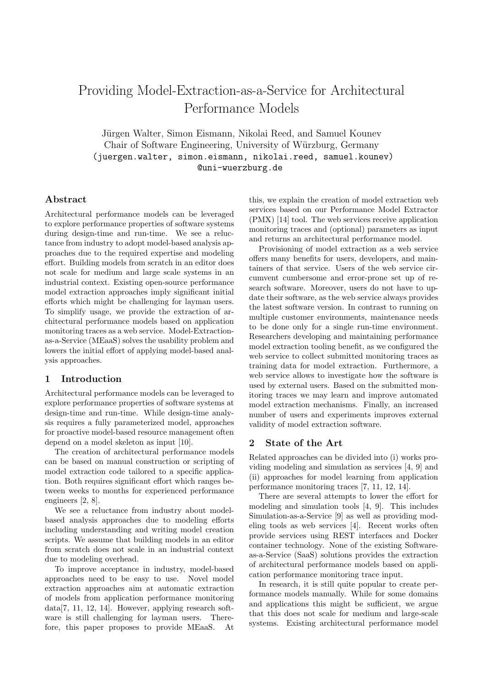# Providing Model-Extraction-as-a-Service for Architectural Performance Models

Jürgen Walter, Simon Eismann, Nikolai Reed, and Samuel Kounev Chair of Software Engineering, University of Würzburg, Germany (juergen.walter, simon.eismann, nikolai.reed, samuel.kounev) @uni-wuerzburg.de

#### Abstract

Architectural performance models can be leveraged to explore performance properties of software systems during design-time and run-time. We see a reluctance from industry to adopt model-based analysis approaches due to the required expertise and modeling effort. Building models from scratch in an editor does not scale for medium and large scale systems in an industrial context. Existing open-source performance model extraction approaches imply significant initial efforts which might be challenging for layman users. To simplify usage, we provide the extraction of architectural performance models based on application monitoring traces as a web service. Model-Extractionas-a-Service (MEaaS) solves the usability problem and lowers the initial effort of applying model-based analysis approaches.

#### 1 Introduction

Architectural performance models can be leveraged to explore performance properties of software systems at design-time and run-time. While design-time analysis requires a fully parameterized model, approaches for proactive model-based resource management often depend on a model skeleton as input [\[10\]](#page-2-0).

The creation of architectural performance models can be based on manual construction or scripting of model extraction code tailored to a specific application. Both requires significant effort which ranges between weeks to months for experienced performance engineers [\[2,](#page-2-1) [8\]](#page-2-2).

We see a reluctance from industry about modelbased analysis approaches due to modeling efforts including understanding and writing model creation scripts. We assume that building models in an editor from scratch does not scale in an industrial context due to modeling overhead.

To improve acceptance in industry, model-based approaches need to be easy to use. Novel model extraction approaches aim at automatic extraction of models from application performance monitoring data[\[7,](#page-2-3) [11,](#page-2-4) [12,](#page-2-5) [14\]](#page-2-6). However, applying research software is still challenging for layman users. Therefore, this paper proposes to provide MEaaS. At this, we explain the creation of model extraction web services based on our Performance Model Extractor (PMX) [\[14\]](#page-2-6) tool. The web services receive application monitoring traces and (optional) parameters as input and returns an architectural performance model.

Provisioning of model extraction as a web service offers many benefits for users, developers, and maintainers of that service. Users of the web service circumvent cumbersome and error-prone set up of research software. Moreover, users do not have to update their software, as the web service always provides the latest software version. In contrast to running on multiple customer environments, maintenance needs to be done only for a single run-time environment. Researchers developing and maintaining performance model extraction tooling benefit, as we configured the web service to collect submitted monitoring traces as training data for model extraction. Furthermore, a web service allows to investigate how the software is used by external users. Based on the submitted monitoring traces we may learn and improve automated model extraction mechanisms. Finally, an increased number of users and experiments improves external validity of model extraction software.

# 2 State of the Art

Related approaches can be divided into (i) works providing modeling and simulation as services [\[4,](#page-2-7) [9\]](#page-2-8) and (ii) approaches for model learning from application performance monitoring traces [\[7,](#page-2-3) [11,](#page-2-4) [12,](#page-2-5) [14\]](#page-2-6).

There are several attempts to lower the effort for modeling and simulation tools [\[4,](#page-2-7) [9\]](#page-2-8). This includes Simulation-as-a-Service [\[9\]](#page-2-8) as well as providing modeling tools as web services [\[4\]](#page-2-7). Recent works often provide services using REST interfaces and Docker container technology. None of the existing Softwareas-a-Service (SaaS) solutions provides the extraction of architectural performance models based on application performance monitoring trace input.

In research, it is still quite popular to create performance models manually. While for some domains and applications this might be sufficient, we argue that this does not scale for medium and large-scale systems. Existing architectural performance model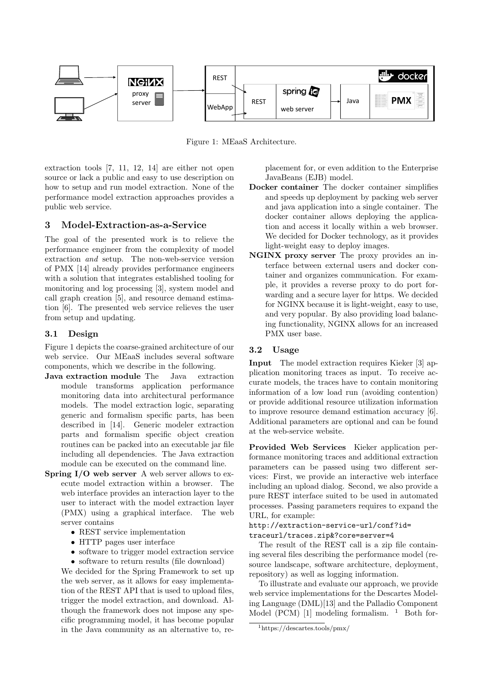

<span id="page-1-0"></span>Figure 1: MEaaS Architecture.

extraction tools [\[7,](#page-2-3) [11,](#page-2-4) [12,](#page-2-5) [14\]](#page-2-6) are either not open source or lack a public and easy to use description on how to setup and run model extraction. None of the performance model extraction approaches provides a public web service.

## 3 Model-Extraction-as-a-Service

The goal of the presented work is to relieve the performance engineer from the complexity of model extraction and setup. The non-web-service version of PMX [\[14\]](#page-2-6) already provides performance engineers with a solution that integrates established tooling for monitoring and log processing [\[3\]](#page-2-9), system model and call graph creation [\[5\]](#page-2-10), and resource demand estimation [\[6\]](#page-2-11). The presented web service relieves the user from setup and updating.

#### 3.1 Design

Figure [1](#page-1-0) depicts the coarse-grained architecture of our web service. Our MEaaS includes several software components, which we describe in the following.

- Java extraction module The Java extraction module transforms application performance monitoring data into architectural performance models. The model extraction logic, separating generic and formalism specific parts, has been described in [\[14\]](#page-2-6). Generic modeler extraction parts and formalism specific object creation routines can be packed into an executable jar file including all dependencies. The Java extraction module can be executed on the command line.
- Spring I/O web server A web server allows to execute model extraction within a browser. The web interface provides an interaction layer to the user to interact with the model extraction layer (PMX) using a graphical interface. The web server contains
	- REST service implementation
	- HTTP pages user interface
	- software to trigger model extraction service
	- software to return results (file download)

We decided for the Spring Framework to set up the web server, as it allows for easy implementation of the REST API that is used to upload files, trigger the model extraction, and download. Although the framework does not impose any specific programming model, it has become popular in the Java community as an alternative to, replacement for, or even addition to the Enterprise JavaBeans (EJB) model.

- Docker container The docker container simplifies and speeds up deployment by packing web server and java application into a single container. The docker container allows deploying the application and access it locally within a web browser. We decided for Docker technology, as it provides light-weight easy to deploy images.
- NGINX proxy server The proxy provides an interface between external users and docker container and organizes communication. For example, it provides a reverse proxy to do port forwarding and a secure layer for https. We decided for NGINX because it is light-weight, easy to use, and very popular. By also providing load balancing functionality, NGINX allows for an increased PMX user base.

#### 3.2 Usage

Input The model extraction requires Kieker [\[3\]](#page-2-9) application monitoring traces as input. To receive accurate models, the traces have to contain monitoring information of a low load run (avoiding contention) or provide additional resource utilization information to improve resource demand estimation accuracy [\[6\]](#page-2-11). Additional parameters are optional and can be found at the web-service website.

Provided Web Services Kieker application performance monitoring traces and additional extraction parameters can be passed using two different services: First, we provide an interactive web interface including an upload dialog. Second, we also provide a pure REST interface suited to be used in automated processes. Passing parameters requires to expand the URL, for example:

#### http://extraction-service-url/conf?id= traceurl/traces.zip&?core=server=4

The result of the REST call is a zip file containing several files describing the performance model (resource landscape, software architecture, deployment, repository) as well as logging information.

To illustrate and evaluate our approach, we provide web service implementations for the Descartes Modeling Language (DML)[\[13\]](#page-2-12) and the Palladio Component Model (PCM)  $[1]$  modeling formalism. <sup>[1](#page-1-1)</sup> Both for-

<span id="page-1-1"></span><sup>1</sup>https://descartes.tools/pmx/